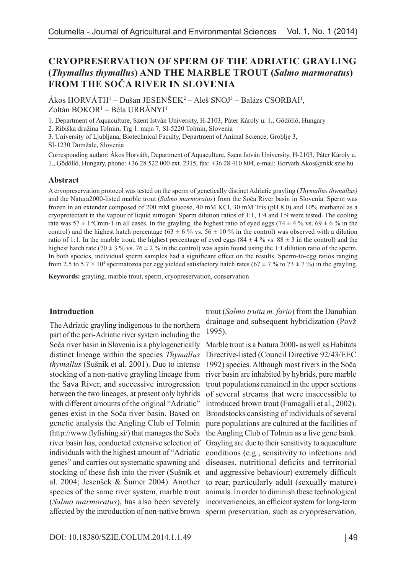# **CRYOPRESERVATION OF SPERM OF THE ADRIATIC GRAYLING (***Thymallus thymallus***) AND THE MARBLE TROUT (***Salmo marmoratus***) FROM THE SOČA RIVER IN SLOVENIA**

Ákos HORVÁTH<sup>1</sup> – Dušan JESENŠEK<sup>2</sup> – Aleš SNOJ<sup>3</sup> – Balázs CSORBAI<sup>1</sup>, Zoltán BOKOR<sup>1</sup> – Béla URBÁNYI<sup>1</sup>

1. Department of Aquaculture, Szent István University, H-2103, Páter Károly u. 1., Gödöllő, Hungary

2. Ribiška družina Tolmin, Trg 1. maja 7, SI-5220 Tolmin, Slovenia

3. University of Ljubljana, Biotechnical Faculty, Department of Animal Science, Groblje 3,

SI-1230 Domžale, Slovenia

Corresponding author: Ákos Horváth, Department of Aquaculture, Szent István University, H-2103, Páter Károly u. 1., Gödöllő, Hungary, phone: +36 28 522 000 ext. 2315, fax: +36 28 410 804, e-mail: Horvath.Akos@mkk.szie.hu

### **Abstract**

A cryopreservation protocol was tested on the sperm of genetically distinct Adriatic grayling (*Thymallus thymallus)*  and the Natura2000-listed marble trout (*Salmo marmoratus*) from the Soča River basin in Slovenia. Sperm was frozen in an extender composed of 200 mM glucose, 40 mM KCl, 30 mM Tris (pH 8.0) and 10% methanol as a cryoprotectant in the vapour of liquid nitrogen. Sperm dilution ratios of 1:1, 1:4 and 1:9 were tested. The cooling rate was  $57 \pm 1^{\circ}$ Cmin-1 in all cases. In the grayling, the highest ratio of eyed eggs (74  $\pm$  4 % vs. 69  $\pm$  6 % in the control) and the highest hatch percentage (63  $\pm$  6 % vs. 56  $\pm$  10 % in the control) was observed with a dilution ratio of 1:1. In the marble trout, the highest percentage of eyed eggs  $(84 \pm 4\% \text{ vs. } 88 \pm 3 \text{ in the control})$  and the highest hatch rate (70  $\pm$  3 % vs. 76  $\pm$  2 % in the control) was again found using the 1:1 dilution ratio of the sperm. In both species, individual sperm samples had a significant effect on the results. Sperm-to-egg ratios ranging from 2.5 to 5.7  $\times$  10<sup>4</sup> spermatozoa per egg yielded satisfactory hatch rates (67  $\pm$  7 % to 73  $\pm$  7 %) in the grayling.

**Keywords:** grayling, marble trout, sperm, cryopreservation, conservation

### **Introduction**

The Adriatic grayling indigenous to the northern part of the peri-Adriatic river system including the Soča river basin in Slovenia is a phylogenetically distinct lineage within the species *Thymallus thymallus* (Sušnik et al. 2001). Due to intense stocking of a non-native grayling lineage from the Sava River, and successive introgression between the two lineages, at present only hybrids with different amounts of the original "Adriatic" genes exist in the Soča river basin. Based on genetic analysis the Angling Club of Tolmin (http://www.flyfishing.si/) that manages the Soča river basin has, conducted extensive selection of individuals with the highest amount of "Adriatic genes" and carries out systematic spawning and diseases, nutritional deficits and territorial stocking of these fish into the river (Sušnik et and aggressive behaviour) extremely difficult al. 2004; Jesenšek & Šumer 2004). Another to rear, particularly adult (sexually mature) species of the same river system, marble trout animals. In order to diminish these technological (*Salmo marmoratus*), has also been severely inconveniencies, an efficient system for long-term affected by the introduction of non-native brown sperm preservation, such as cryopreservation,

trout (*Salmo trutta m. fario*) from the Danubian drainage and subsequent hybridization (Povž 1995).

Marble trout is a Natura 2000- as well as Habitats Directive-listed (Council Directive 92/43/EEC 1992) species. Although most rivers in the Soča river basin are inhabited by hybrids, pure marble trout populations remained in the upper sections of several streams that were inaccessible to introduced brown trout (Fumagalli et al., 2002). Broodstocks consisting of individuals of several pure populations are cultured at the facilities of the Angling Club of Tolmin as a live gene bank. Grayling are due to their sensitivity to aquaculture conditions (e.g., sensitivity to infections and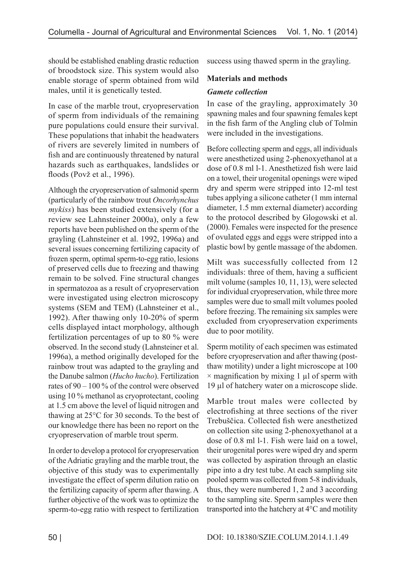should be established enabling drastic reduction of broodstock size. This system would also enable storage of sperm obtained from wild males, until it is genetically tested.

In case of the marble trout, cryopreservation of sperm from individuals of the remaining pure populations could ensure their survival. These populations that inhabit the headwaters of rivers are severely limited in numbers of fish and are continuously threatened by natural hazards such as earthquakes, landslides or floods (Povž et al., 1996).

Although the cryopreservation of salmonid sperm (particularly of the rainbow trout *Oncorhynchus mykiss*) has been studied extensively (for a review see Lahnsteiner 2000a), only a few reports have been published on the sperm of the grayling (Lahnsteiner et al. 1992, 1996a) and several issues concerning fertilizing capacity of frozen sperm, optimal sperm-to-egg ratio, lesions of preserved cells due to freezing and thawing remain to be solved. Fine structural changes in spermatozoa as a result of cryopreservation were investigated using electron microscopy systems (SEM and TEM) (Lahnsteiner et al., 1992). After thawing only 10-20% of sperm cells displayed intact morphology, although fertilization percentages of up to 80 % were observed. In the second study (Lahnsteiner et al. 1996a), a method originally developed for the rainbow trout was adapted to the grayling and the Danube salmon (*Hucho hucho*). Fertilization rates of 90 – 100 % of the control were observed using 10 % methanol as cryoprotectant, cooling at 1.5 cm above the level of liquid nitrogen and thawing at 25°C for 30 seconds. To the best of our knowledge there has been no report on the cryopreservation of marble trout sperm.

In order to develop a protocol for cryopreservation of the Adriatic grayling and the marble trout, the objective of this study was to experimentally investigate the effect of sperm dilution ratio on the fertilizing capacity of sperm after thawing. A further objective of the work was to optimize the sperm-to-egg ratio with respect to fertilization success using thawed sperm in the grayling.

# **Materials and methods**

## *Gamete collection*

In case of the grayling, approximately 30 spawning males and four spawning females kept in the fish farm of the Angling club of Tolmin were included in the investigations.

Before collecting sperm and eggs, all individuals were anesthetized using 2-phenoxyethanol at a dose of 0.8 ml l-1. Anesthetized fish were laid on a towel, their urogenital openings were wiped dry and sperm were stripped into 12-ml test tubes applying a silicone catheter (1 mm internal diameter, 1.5 mm external diameter) according to the protocol described by Glogowski et al. (2000). Females were inspected for the presence of ovulated eggs and eggs were stripped into a plastic bowl by gentle massage of the abdomen.

Milt was successfully collected from 12 individuals: three of them, having a sufficient milt volume (samples 10, 11, 13), were selected for individual cryopreservation, while three more samples were due to small milt volumes pooled before freezing. The remaining six samples were excluded from cryopreservation experiments due to poor motility.

Sperm motility of each specimen was estimated before cryopreservation and after thawing (postthaw motility) under a light microscope at 100  $\times$  magnification by mixing 1  $\mu$ l of sperm with 19 µl of hatchery water on a microscope slide.

Marble trout males were collected by electrofishing at three sections of the river Trebuščica. Collected fish were anesthetized on collection site using 2-phenoxyethanol at a dose of 0.8 ml l-1. Fish were laid on a towel, their urogenital pores were wiped dry and sperm was collected by aspiration through an elastic pipe into a dry test tube. At each sampling site pooled sperm was collected from 5-8 individuals, thus, they were numbered 1, 2 and 3 according to the sampling site. Sperm samples were then transported into the hatchery at 4°C and motility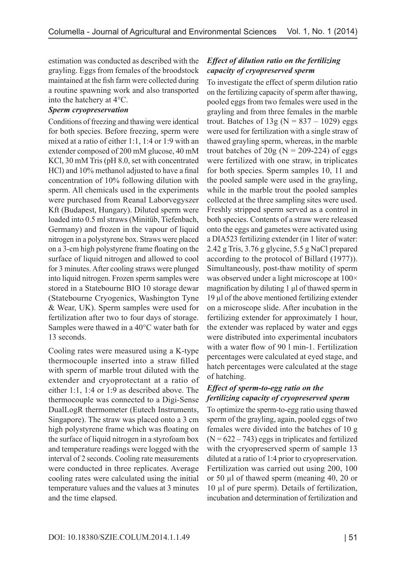estimation was conducted as described with the grayling. Eggs from females of the broodstock maintained at the fish farm were collected during a routine spawning work and also transported into the hatchery at 4°C.

### *Sperm cryopreservation*

Conditions of freezing and thawing were identical for both species. Before freezing, sperm were mixed at a ratio of either 1:1, 1:4 or 1:9 with an extender composed of 200 mM glucose, 40 mM KCl, 30 mM Tris (pH 8.0, set with concentrated HCl) and 10% methanol adjusted to have a final concentration of 10% following dilution with sperm. All chemicals used in the experiments were purchased from Reanal Laborvegyszer Kft (Budapest, Hungary). Diluted sperm were loaded into 0.5 ml straws (Minitüb, Tiefenbach, Germany) and frozen in the vapour of liquid nitrogen in a polystyrene box. Straws were placed on a 3-cm high polystyrene frame floating on the surface of liquid nitrogen and allowed to cool for 3 minutes. After cooling straws were plunged into liquid nitrogen. Frozen sperm samples were stored in a Statebourne BIO 10 storage dewar (Statebourne Cryogenics, Washington Tyne & Wear, UK). Sperm samples were used for fertilization after two to four days of storage. Samples were thawed in a 40°C water bath for 13 seconds.

Cooling rates were measured using a K-type thermocouple inserted into a straw filled with sperm of marble trout diluted with the extender and cryoprotectant at a ratio of either 1:1, 1:4 or 1:9 as described above. The thermocouple was connected to a Digi-Sense DualLogR thermometer (Eutech Instruments, Singapore). The straw was placed onto a 3 cm high polystyrene frame which was floating on the surface of liquid nitrogen in a styrofoam box and temperature readings were logged with the interval of 2 seconds. Cooling rate measurements were conducted in three replicates. Average cooling rates were calculated using the initial temperature values and the values at 3 minutes and the time elapsed.

# *Effect of dilution ratio on the fertilizing capacity of cryopreserved sperm*

To investigate the effect of sperm dilution ratio on the fertilizing capacity of sperm after thawing, pooled eggs from two females were used in the grayling and from three females in the marble trout. Batches of  $13g (N = 837 - 1029)$  eggs were used for fertilization with a single straw of thawed grayling sperm, whereas, in the marble trout batches of  $20g$  (N = 209-224) of eggs were fertilized with one straw, in triplicates for both species. Sperm samples 10, 11 and the pooled sample were used in the grayling, while in the marble trout the pooled samples collected at the three sampling sites were used. Freshly stripped sperm served as a control in both species. Contents of a straw were released onto the eggs and gametes were activated using a DIA523 fertilizing extender (in 1 liter of water: 2.42 g Tris, 3.76 g glycine, 5.5 g NaCl prepared according to the protocol of Billard (1977)). Simultaneously, post-thaw motility of sperm was observed under a light microscope at  $100\times$ magnification by diluting 1 µl of thawed sperm in 19 µl of the above mentioned fertilizing extender on a microscope slide. After incubation in the fertilizing extender for approximately 1 hour, the extender was replaced by water and eggs were distributed into experimental incubators with a water flow of 90 l min-1. Fertilization percentages were calculated at eyed stage, and hatch percentages were calculated at the stage of hatching.

# *Effect of sperm-to-egg ratio on the fertilizing capacity of cryopreserved sperm*

To optimize the sperm-to-egg ratio using thawed sperm of the grayling, again, pooled eggs of two females were divided into the batches of 10 g  $(N = 622 - 743)$  eggs in triplicates and fertilized with the cryopreserved sperm of sample 13 diluted at a ratio of 1:4 prior to cryopreservation. Fertilization was carried out using 200, 100 or 50 µl of thawed sperm (meaning 40, 20 or 10 µl of pure sperm). Details of fertilization, incubation and determination of fertilization and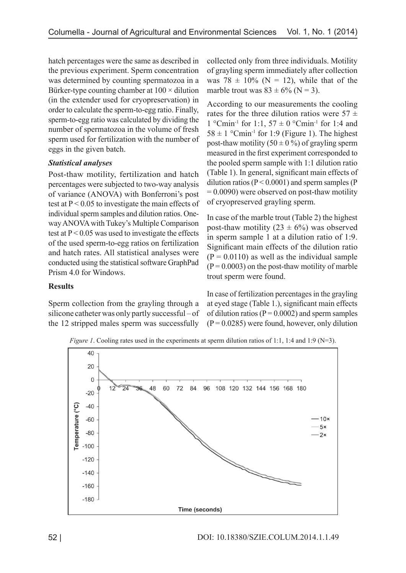hatch percentages were the same as described in the previous experiment. Sperm concentration was determined by counting spermatozoa in a Bürker-type counting chamber at  $100 \times$  dilution (in the extender used for cryopreservation) in order to calculate the sperm-to-egg ratio. Finally, sperm-to-egg ratio was calculated by dividing the number of spermatozoa in the volume of fresh sperm used for fertilization with the number of eggs in the given batch.

# *Statistical analyses*

Post-thaw motility, fertilization and hatch percentages were subjected to two-way analysis of variance (ANOVA) with Bonferroni's post test at  $P < 0.05$  to investigate the main effects of individual sperm samples and dilution ratios. Oneway ANOVA with Tukey's Multiple Comparison test at  $P < 0.05$  was used to investigate the effects of the used sperm-to-egg ratios on fertilization and hatch rates. All statistical analyses were conducted using the statistical software GraphPad Prism 4.0 for Windows.

**Results**

Sperm collection from the grayling through a silicone catheter was only partly successful – of the 12 stripped males sperm was successfully collected only from three individuals. Motility of grayling sperm immediately after collection was 78  $\pm$  10% (N = 12), while that of the marble trout was  $83 \pm 6\%$  (N = 3).

According to our measurements the cooling rates for the three dilution ratios were  $57 \pm$ 1 °Cmin<sup>-1</sup> for 1:1, 57  $\pm$  0 °Cmin<sup>-1</sup> for 1:4 and  $58 \pm 1$  °Cmin<sup>-1</sup> for 1:9 (Figure 1). The highest post-thaw motility  $(50 \pm 0\%)$  of grayling sperm measured in the first experiment corresponded to the pooled sperm sample with 1:1 dilution ratio (Table 1). In general, significant main effects of dilution ratios ( $P < 0.0001$ ) and sperm samples ( $P$  $= 0.0090$ ) were observed on post-thaw motility of cryopreserved grayling sperm.

In case of the marble trout (Table 2) the highest post-thaw motility  $(23 \pm 6\%)$  was observed in sperm sample 1 at a dilution ratio of 1:9. Significant main effects of the dilution ratio  $(P = 0.0110)$  as well as the individual sample  $(P = 0.0003)$  on the post-thaw motility of marble trout sperm were found.

In case of fertilization percentages in the grayling at eyed stage (Table 1.), significant main effects of dilution ratios ( $P = 0.0002$ ) and sperm samples  $(P = 0.0285)$  were found, however, only dilution



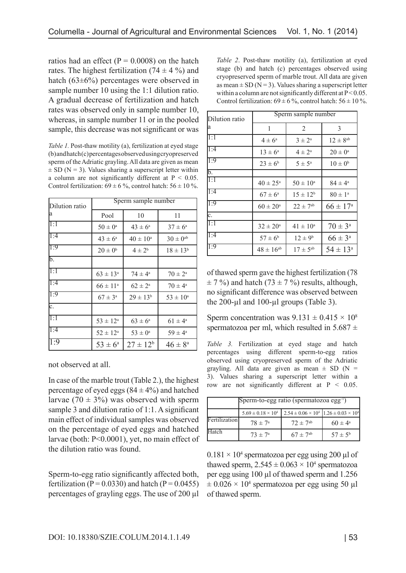ratios had an effect ( $P = 0.0008$ ) on the hatch rates. The highest fertilization  $(74 \pm 4\%)$  and hatch (63±6%) percentages were observed in sample number 10 using the 1:1 dilution ratio. A gradual decrease of fertilization and hatch rates was observed only in sample number 10, whereas, in sample number 11 or in the pooled sample, this decrease was not significant or was

*Table 1.* Post-thaw motility (a), fertilization at eyed stage (b) and hatch (c) percentages observed using cryopreserved sperm of the Adriatic grayling. All data are given as mean  $\pm$  SD (N = 3). Values sharing a superscript letter within a column are not significantly different at  $P < 0.05$ . Control fertilization:  $69 \pm 6$ %, control hatch:  $56 \pm 10$ %.

| Dilution ratio   | Sperm sample number |                     |                     |  |
|------------------|---------------------|---------------------|---------------------|--|
| a                | Pool                | 10                  | 11                  |  |
| 1:1              | $50\pm0^{\rm a}$    | $43 \pm 6^a$        | $37 \pm 6^a$        |  |
| 1:4              | $43 \pm 6^{\circ}$  | $40 \pm 10^{\circ}$ | $30\pm0^{\rm ab}$   |  |
| 1:9              | $20 \pm 0^b$        | $4 \pm 2^{6}$       | $18 \pm 13^{b}$     |  |
| b.               |                     |                     |                     |  |
| 1:1              | $63 \pm 13^{\circ}$ | $74 \pm 4^{\circ}$  | $70 \pm 2^{\circ}$  |  |
| 1:4              | $66 \pm 11^{\circ}$ | $62 \pm 2^{\rm a}$  | $70 \pm 4^{\circ}$  |  |
| $\overline{1:9}$ | $67 \pm 3^{\circ}$  | $29 \pm 13^{b}$     | $53 \pm 10^{\rm a}$ |  |
| c.               |                     |                     |                     |  |
| 1:1              | $53 \pm 12^{\circ}$ | $63 \pm 6^{\circ}$  | $61 \pm 4^{\circ}$  |  |
| 1:4              | $52 \pm 12^{\rm a}$ | $53 \pm 0^{\rm a}$  | $59 \pm 4^{\circ}$  |  |
| 1:9              | $53 \pm 6^{\circ}$  | $27 \pm 12^b$       | $46 \pm 8^{\circ}$  |  |

not observed at all.

In case of the marble trout (Table 2.), the highest percentage of eyed eggs  $(84 \pm 4\%)$  and hatched larvae (70  $\pm$  3%) was observed with sperm sample 3 and dilution ratio of 1:1. A significant main effect of individual samples was observed on the percentage of eyed eggs and hatched larvae (both: P<0.0001), yet, no main effect of the dilution ratio was found.

Sperm-to-egg ratio significantly affected both, fertilization ( $P = 0.0330$ ) and hatch ( $P = 0.0455$ ) percentages of grayling eggs. The use of 200 µl *Table 2*. Post-thaw motility (a), fertilization at eyed stage (b) and hatch (c) percentages observed using cryopreserved sperm of marble trout. All data are given as mean  $\pm$  SD (N = 3). Values sharing a superscript letter within a column are not significantly different at  $P < 0.05$ . Control fertilization:  $69 \pm 6\%$ , control hatch:  $56 \pm 10\%$ .

| Dilution ratio                  | Sperm sample number |                     |                     |  |
|---------------------------------|---------------------|---------------------|---------------------|--|
| a                               | 1                   | 2                   | 3                   |  |
| $\Pi$ : $\overline{\mathrm{I}}$ | $4 \pm 6^a$         | $3 \pm 2^{\rm a}$   | $12 \pm 8^{ab}$     |  |
| 1:4                             | $13 \pm 6^a$        | $4 \pm 2^{\rm a}$   | $20 \pm 0^{\rm a}$  |  |
| 1:9                             | $23 \pm 6^b$        | $5 \pm 5^{\circ}$   | $10 \pm 0^b$        |  |
| b.                              |                     |                     |                     |  |
| $\overline{1:1}$                | $40 \pm 25^{\circ}$ | $50 \pm 10^{\circ}$ | $84 \pm 4^{\circ}$  |  |
| 1:4                             | $67 \pm 6^{\circ}$  | $15 \pm 12^{b}$     | $80 \pm 1^{\circ}$  |  |
| 1:9                             | $60 \pm 20^{\circ}$ | $22 \pm 7^{ab}$     | $66 \pm 17^{\circ}$ |  |
| c.                              |                     |                     |                     |  |
| $\overline{1:1}$                | $32 \pm 20^{\circ}$ | $41 \pm 10^a$       | $70 \pm 3^{\circ}$  |  |
| 1:4                             | $57 \pm 6^b$        | $12 \pm 9^b$        | $66 \pm 3^{\circ}$  |  |
| $\overline{1:9}$                | $48 \pm 16^{ab}$    | $17 \pm 5^{ab}$     | $54 \pm 13^{\circ}$ |  |

of thawed sperm gave the highest fertilization (78  $\pm$  7 %) and hatch (73  $\pm$  7 %) results, although, no significant difference was observed between the  $200$ -µl and  $100$ -µl groups (Table 3).

Sperm concentration was  $9.131 \pm 0.415 \times 10^8$ spermatozoa per ml, which resulted in  $5.687 \pm$ 

*Table 3.* Fertilization at eyed stage and hatch percentages using different sperm-to-egg ratios observed using cryopreserved sperm of the Adriatic grayling. All data are given as mean  $\pm$  SD (N = 3). Values sharing a superscript letter within a row are not significantly different at  $P < 0.05$ .

|               | Sperm-to-egg ratio (spermatozoa egg-1) |                                                                      |                    |  |  |
|---------------|----------------------------------------|----------------------------------------------------------------------|--------------------|--|--|
|               | $5.69 \pm 0.18 \times 10^4$            | $2.54 \pm 0.06 \times 10^4$ 1.26 $\pm$ 0.03 $\times$ 10 <sup>4</sup> |                    |  |  |
| Fertilization | $78 \pm 7^{\circ}$                     | $72 \pm 7^{ab}$                                                      | $60 \pm 4^{\circ}$ |  |  |
| Hatch         | $73 \pm 7^{\circ}$                     | $67 \pm 7^{ab}$                                                      | $57 \pm 5^{\rm b}$ |  |  |

 $0.181 \times 10^4$  spermatozoa per egg using 200 µl of thawed sperm,  $2.545 \pm 0.063 \times 10^4$  spermatozoa per egg using 100 µl of thawed sperm and 1.256  $\pm 0.026 \times 10^4$  spermatozoa per egg using 50 µl of thawed sperm.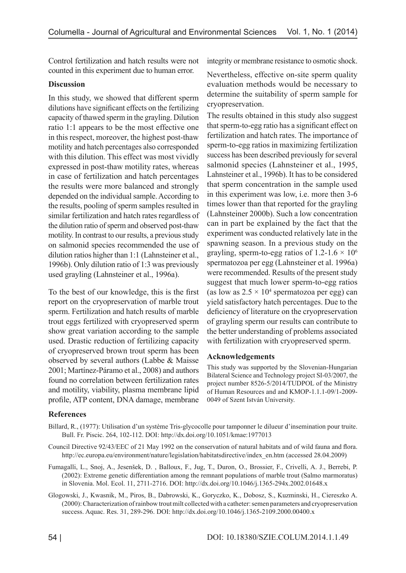Control fertilization and hatch results were not counted in this experiment due to human error.

## **Discussion**

In this study, we showed that different sperm dilutions have significant effects on the fertilizing capacity of thawed sperm in the grayling. Dilution ratio 1:1 appears to be the most effective one in this respect, moreover, the highest post-thaw motility and hatch percentages also corresponded with this dilution. This effect was most vividly expressed in post-thaw motility rates, whereas in case of fertilization and hatch percentages the results were more balanced and strongly depended on the individual sample. According to the results, pooling of sperm samples resulted in similar fertilization and hatch rates regardless of the dilution ratio of sperm and observed post-thaw motility. In contrast to our results, a previous study on salmonid species recommended the use of dilution ratios higher than 1:1 (Lahnsteiner et al., 1996b). Only dilution ratio of 1:3 was previously used grayling (Lahnsteiner et al., 1996a).

To the best of our knowledge, this is the first report on the cryopreservation of marble trout sperm. Fertilization and hatch results of marble trout eggs fertilized with cryopreserved sperm show great variation according to the sample used. Drastic reduction of fertilizing capacity of cryopreserved brown trout sperm has been observed by several authors (Labbe & Maisse 2001; Martínez-Páramo et al., 2008) and authors found no correlation between fertilization rates and motility, viability, plasma membrane lipid profile, ATP content, DNA damage, membrane integrity or membrane resistance to osmotic shock.

Nevertheless, effective on-site sperm quality evaluation methods would be necessary to determine the suitability of sperm sample for cryopreservation.

The results obtained in this study also suggest that sperm-to-egg ratio has a significant effect on fertilization and hatch rates. The importance of sperm-to-egg ratios in maximizing fertilization success has been described previously for several salmonid species (Lahnsteiner et al., 1995, Lahnsteiner et al., 1996b). It has to be considered that sperm concentration in the sample used in this experiment was low, i.e. more then 3-6 times lower than that reported for the grayling (Lahnsteiner 2000b). Such a low concentration can in part be explained by the fact that the experiment was conducted relatively late in the spawning season. In a previous study on the grayling, sperm-to-egg ratios of 1.2-1.6  $\times$  10<sup>6</sup> spermatozoa per egg (Lahnsteiner et al. 1996a) were recommended. Results of the present study suggest that much lower sperm-to-egg ratios (as low as  $2.5 \times 10^4$  spermatozoa per egg) can yield satisfactory hatch percentages. Due to the deficiency of literature on the cryopreservation of grayling sperm our results can contribute to the better understanding of problems associated with fertilization with cryopreserved sperm.

### **Acknowledgements**

This study was supported by the Slovenian-Hungarian Bilateral Science and Technology project SI-03/2007, the project number 8526-5/2014/TUDPOL of the Ministry of Human Resources and and KMOP-1.1.1-09/1-2009- 0049 of Szent István University.

# **References**

- Billard, R., (1977): Utilisation d'un système Tris-glycocolle pour tamponner le dilueur d'insemination pour truite. Bull. Fr. Piscic. 264, 102-112. DOI: http://dx.doi.org/10.1051/kmae:1977013
- Council Directive 92/43/EEC of 21 May 1992 on the conservation of natural habitats and of wild fauna and flora. http://ec.europa.eu/environment/nature/legislation/habitatsdirective/index\_en.htm (accessed 28.04.2009)
- Fumagalli, L., Snoj, A., Jesenšek, D. , Balloux, F., Jug, T., Duron, O., Brossier, F., Crivelli, A. J., Berrebi, P. (2002): Extreme genetic differentiation among the remnant populations of marble trout (Salmo marmoratus) in Slovenia. Mol. Ecol. 11, 2711-2716. DOI: http://dx.doi.org/10.1046/j.1365-294x.2002.01648.x
- Glogowski, J., Kwasnik, M., Piros, B., Dabrowski, K., Goryczko, K., Dobosz, S., Kuzminski, H., Ciereszko A. (2000): Characterization of rainbow trout milt collected with a catheter: semen parameters and cryopreservation success. Aquac. Res. 31, 289-296. DOI: http://dx.doi.org/10.1046/j.1365-2109.2000.00400.x